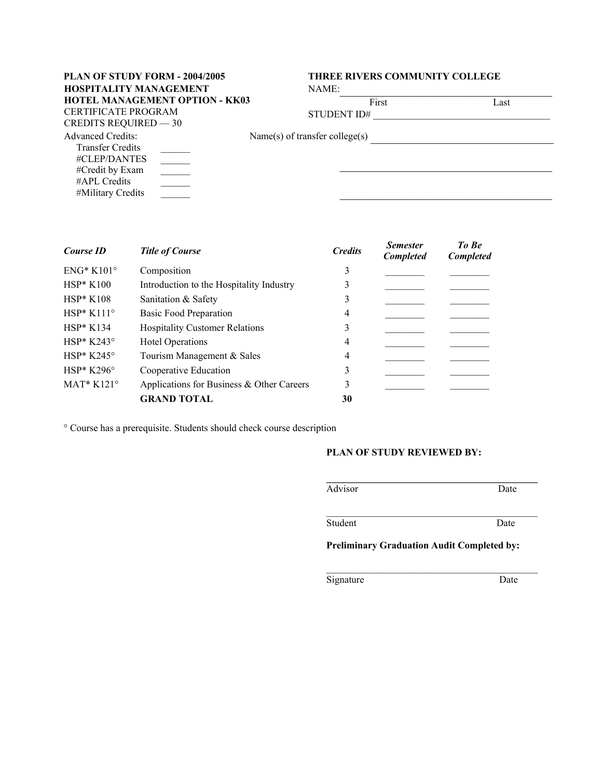# **HOSPITALITY MANAGEMENT HOTEL MANAGEMENT OPTION - KK03** CERTIFICATE PROGRAM

## **PLAN OF STUDY FORM - 2004/2005 THREE RIVERS COMMUNITY COLLEGE**

 $\mathcal{L}_\text{max}$  , where  $\mathcal{L}_\text{max}$  and  $\mathcal{L}_\text{max}$  and  $\mathcal{L}_\text{max}$ 

| NAME: |  |  |  |  |  |
|-------|--|--|--|--|--|
|       |  |  |  |  |  |

| First       | Last |
|-------------|------|
| STUDENT ID# |      |

CREDITS REQUIRED — 30

Name(s) of transfer college(s) \_\_\_\_\_\_\_\_\_\_\_\_\_\_\_\_\_\_\_\_\_\_\_\_\_\_\_\_\_\_\_

Advanced Credits: Transfer Credits #CLEP/DANTES #Credit by Exam #APL Credits #Military Credits  $\mathcal{L}=\mathcal{L}$  $\mathcal{L}=\mathcal{L}$  $\mathcal{L}=\mathcal{L}$  $\_$   $\_$ 

| Course ID           | <b>Title of Course</b>                    |    | <b>Semester</b><br><b>Completed</b> | To Be<br><b>Completed</b> |  |
|---------------------|-------------------------------------------|----|-------------------------------------|---------------------------|--|
| $ENG^*$ K101°       | Composition                               | 3  |                                     |                           |  |
| $HSP*K100$          | Introduction to the Hospitality Industry  | 3  |                                     |                           |  |
| $HSP*K108$          | Sanitation & Safety                       |    |                                     |                           |  |
| $HSP*K111°$         | <b>Basic Food Preparation</b>             | 4  |                                     |                           |  |
| $HSP*K134$          | <b>Hospitality Customer Relations</b>     | 3  |                                     |                           |  |
| $HSP* K243^{\circ}$ | <b>Hotel Operations</b>                   | 4  |                                     |                           |  |
| $HSP* K245^{\circ}$ | Tourism Management & Sales                | 4  |                                     |                           |  |
| $HSP*K296^{\circ}$  | Cooperative Education                     | 3  |                                     |                           |  |
| $MAT*K121°$         | Applications for Business & Other Careers |    |                                     |                           |  |
|                     | <b>GRAND TOTAL</b>                        | 30 |                                     |                           |  |

° Course has a prerequisite. Students should check course description

## **PLAN OF STUDY REVIEWED BY:**

| Advisor | Date |
|---------|------|
|         |      |
| Student | Date |

**Preliminary Graduation Audit Completed by:**

Signature Date